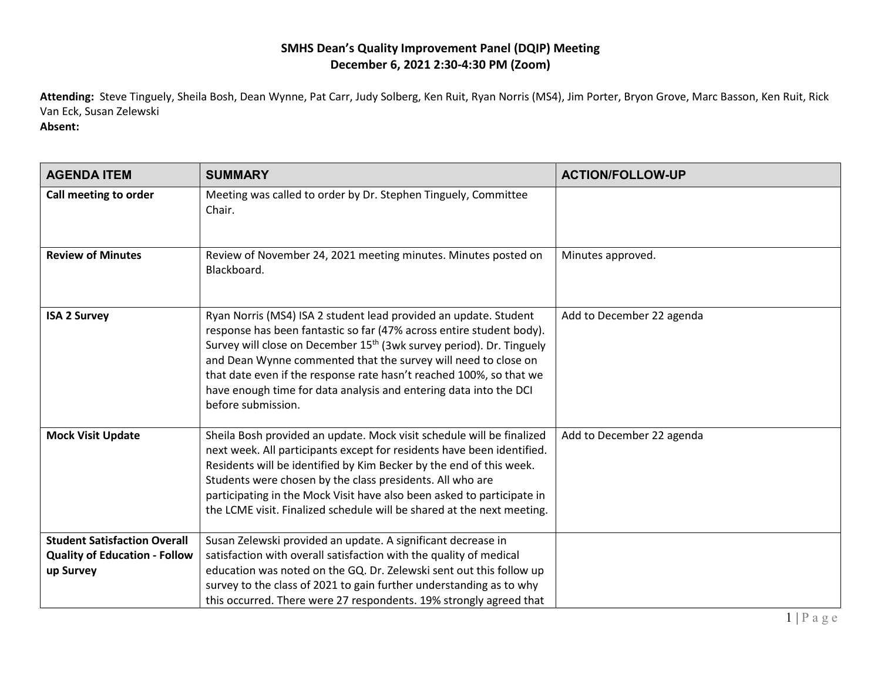## **SMHS Dean's Quality Improvement Panel (DQIP) Meeting December 6, 2021 2:30-4:30 PM (Zoom)**

**Attending:** Steve Tinguely, Sheila Bosh, Dean Wynne, Pat Carr, Judy Solberg, Ken Ruit, Ryan Norris (MS4), Jim Porter, Bryon Grove, Marc Basson, Ken Ruit, Rick Van Eck, Susan Zelewski

**Absent:**

| <b>AGENDA ITEM</b>                                                                       | <b>SUMMARY</b>                                                                                                                                                                                                                                                                                                                                                                                                                                                   | <b>ACTION/FOLLOW-UP</b>   |
|------------------------------------------------------------------------------------------|------------------------------------------------------------------------------------------------------------------------------------------------------------------------------------------------------------------------------------------------------------------------------------------------------------------------------------------------------------------------------------------------------------------------------------------------------------------|---------------------------|
| Call meeting to order                                                                    | Meeting was called to order by Dr. Stephen Tinguely, Committee<br>Chair.                                                                                                                                                                                                                                                                                                                                                                                         |                           |
| <b>Review of Minutes</b>                                                                 | Review of November 24, 2021 meeting minutes. Minutes posted on<br>Blackboard.                                                                                                                                                                                                                                                                                                                                                                                    | Minutes approved.         |
| <b>ISA 2 Survey</b>                                                                      | Ryan Norris (MS4) ISA 2 student lead provided an update. Student<br>response has been fantastic so far (47% across entire student body).<br>Survey will close on December 15 <sup>th</sup> (3wk survey period). Dr. Tinguely<br>and Dean Wynne commented that the survey will need to close on<br>that date even if the response rate hasn't reached 100%, so that we<br>have enough time for data analysis and entering data into the DCI<br>before submission. | Add to December 22 agenda |
| <b>Mock Visit Update</b>                                                                 | Sheila Bosh provided an update. Mock visit schedule will be finalized<br>next week. All participants except for residents have been identified.<br>Residents will be identified by Kim Becker by the end of this week.<br>Students were chosen by the class presidents. All who are<br>participating in the Mock Visit have also been asked to participate in<br>the LCME visit. Finalized schedule will be shared at the next meeting.                          | Add to December 22 agenda |
| <b>Student Satisfaction Overall</b><br><b>Quality of Education - Follow</b><br>up Survey | Susan Zelewski provided an update. A significant decrease in<br>satisfaction with overall satisfaction with the quality of medical<br>education was noted on the GQ. Dr. Zelewski sent out this follow up<br>survey to the class of 2021 to gain further understanding as to why<br>this occurred. There were 27 respondents. 19% strongly agreed that                                                                                                           |                           |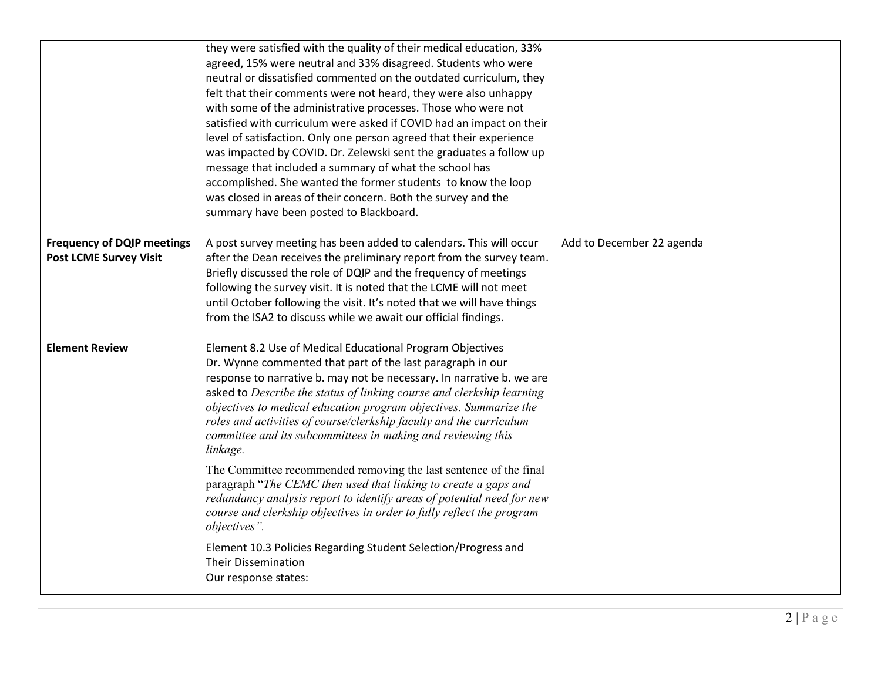|                                                                    | they were satisfied with the quality of their medical education, 33%<br>agreed, 15% were neutral and 33% disagreed. Students who were<br>neutral or dissatisfied commented on the outdated curriculum, they<br>felt that their comments were not heard, they were also unhappy<br>with some of the administrative processes. Those who were not<br>satisfied with curriculum were asked if COVID had an impact on their<br>level of satisfaction. Only one person agreed that their experience<br>was impacted by COVID. Dr. Zelewski sent the graduates a follow up<br>message that included a summary of what the school has<br>accomplished. She wanted the former students to know the loop<br>was closed in areas of their concern. Both the survey and the<br>summary have been posted to Blackboard.                                                                                                                          |                           |
|--------------------------------------------------------------------|--------------------------------------------------------------------------------------------------------------------------------------------------------------------------------------------------------------------------------------------------------------------------------------------------------------------------------------------------------------------------------------------------------------------------------------------------------------------------------------------------------------------------------------------------------------------------------------------------------------------------------------------------------------------------------------------------------------------------------------------------------------------------------------------------------------------------------------------------------------------------------------------------------------------------------------|---------------------------|
| <b>Frequency of DQIP meetings</b><br><b>Post LCME Survey Visit</b> | A post survey meeting has been added to calendars. This will occur<br>after the Dean receives the preliminary report from the survey team.<br>Briefly discussed the role of DQIP and the frequency of meetings<br>following the survey visit. It is noted that the LCME will not meet<br>until October following the visit. It's noted that we will have things<br>from the ISA2 to discuss while we await our official findings.                                                                                                                                                                                                                                                                                                                                                                                                                                                                                                    | Add to December 22 agenda |
| <b>Element Review</b>                                              | Element 8.2 Use of Medical Educational Program Objectives<br>Dr. Wynne commented that part of the last paragraph in our<br>response to narrative b. may not be necessary. In narrative b. we are<br>asked to Describe the status of linking course and clerkship learning<br>objectives to medical education program objectives. Summarize the<br>roles and activities of course/clerkship faculty and the curriculum<br>committee and its subcommittees in making and reviewing this<br>linkage.<br>The Committee recommended removing the last sentence of the final<br>paragraph "The CEMC then used that linking to create a gaps and<br>redundancy analysis report to identify areas of potential need for new<br>course and clerkship objectives in order to fully reflect the program<br>objectives".<br>Element 10.3 Policies Regarding Student Selection/Progress and<br><b>Their Dissemination</b><br>Our response states: |                           |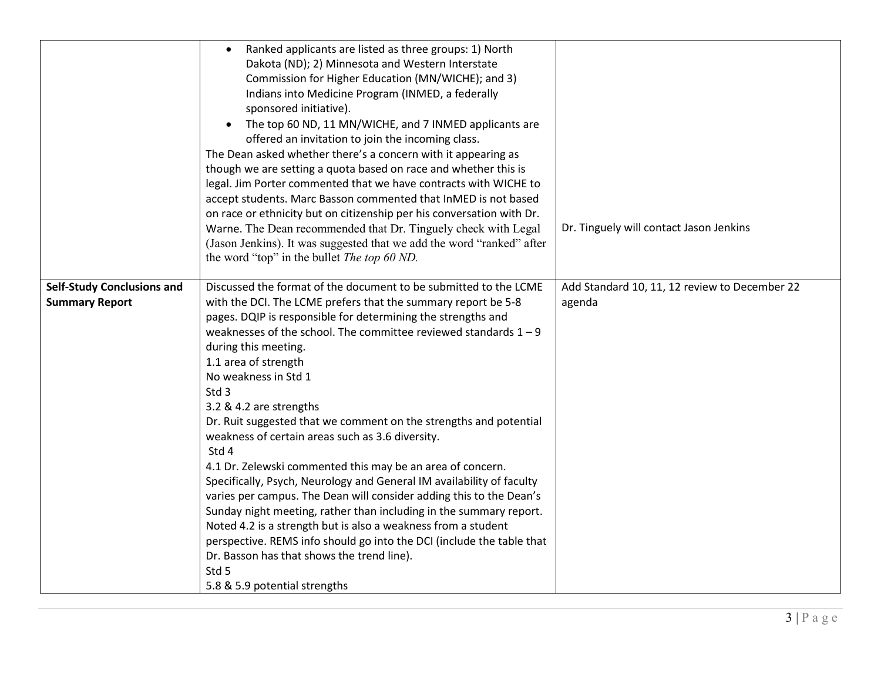|                                                            | Ranked applicants are listed as three groups: 1) North<br>Dakota (ND); 2) Minnesota and Western Interstate<br>Commission for Higher Education (MN/WICHE); and 3)<br>Indians into Medicine Program (INMED, a federally<br>sponsored initiative).<br>The top 60 ND, 11 MN/WICHE, and 7 INMED applicants are<br>offered an invitation to join the incoming class.<br>The Dean asked whether there's a concern with it appearing as<br>though we are setting a quota based on race and whether this is<br>legal. Jim Porter commented that we have contracts with WICHE to<br>accept students. Marc Basson commented that InMED is not based<br>on race or ethnicity but on citizenship per his conversation with Dr.<br>Warne. The Dean recommended that Dr. Tinguely check with Legal<br>(Jason Jenkins). It was suggested that we add the word "ranked" after<br>the word "top" in the bullet The top 60 ND.                                                                                                                                 | Dr. Tinguely will contact Jason Jenkins                 |
|------------------------------------------------------------|---------------------------------------------------------------------------------------------------------------------------------------------------------------------------------------------------------------------------------------------------------------------------------------------------------------------------------------------------------------------------------------------------------------------------------------------------------------------------------------------------------------------------------------------------------------------------------------------------------------------------------------------------------------------------------------------------------------------------------------------------------------------------------------------------------------------------------------------------------------------------------------------------------------------------------------------------------------------------------------------------------------------------------------------|---------------------------------------------------------|
| <b>Self-Study Conclusions and</b><br><b>Summary Report</b> | Discussed the format of the document to be submitted to the LCME<br>with the DCI. The LCME prefers that the summary report be 5-8<br>pages. DQIP is responsible for determining the strengths and<br>weaknesses of the school. The committee reviewed standards $1 - 9$<br>during this meeting.<br>1.1 area of strength<br>No weakness in Std 1<br>Std 3<br>3.2 & 4.2 are strengths<br>Dr. Ruit suggested that we comment on the strengths and potential<br>weakness of certain areas such as 3.6 diversity.<br>Std 4<br>4.1 Dr. Zelewski commented this may be an area of concern.<br>Specifically, Psych, Neurology and General IM availability of faculty<br>varies per campus. The Dean will consider adding this to the Dean's<br>Sunday night meeting, rather than including in the summary report.<br>Noted 4.2 is a strength but is also a weakness from a student<br>perspective. REMS info should go into the DCI (include the table that<br>Dr. Basson has that shows the trend line).<br>Std 5<br>5.8 & 5.9 potential strengths | Add Standard 10, 11, 12 review to December 22<br>agenda |